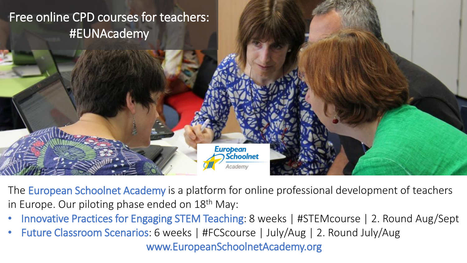

The European Schoolnet Academy is a platform for online professional development of teachers in Europe. Our piloting phase ended on 18<sup>th</sup> May:

- Innovative Practices for Engaging STEM Teaching: 8 weeks | #STEMcourse | 2. Round Aug/Sept
- Future Classroom Scenarios: 6 weeks | #FCScourse | July/Aug | 2. Round July/Aug

www.EuropeanSchoolnetAcademy.org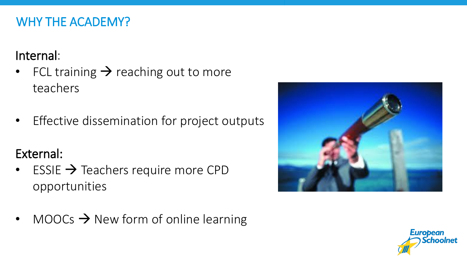### WHY THE ACADEMY?

# Internal:

- FCL training  $\rightarrow$  reaching out to more teachers
- Effective dissemination for project outputs

# External:

 $\cdot$  ESSIE  $\rightarrow$  Teachers require more CPD opportunities



• MOOCs  $\rightarrow$  New form of online learning

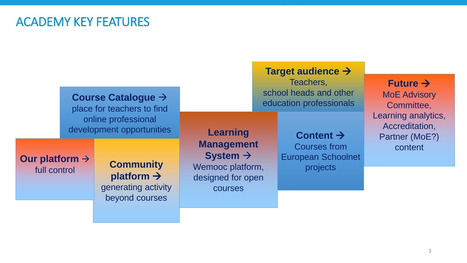#### ACADEMY KEY FEATURES

| Course Catalogue →<br>place for teachers to find |                                                                                     |                                                                          | Teachers,<br>school heads and other<br>education professionals |                                                                           | Future $\rightarrow$<br><b>MoE Advisory</b><br>Committee,          |
|--------------------------------------------------|-------------------------------------------------------------------------------------|--------------------------------------------------------------------------|----------------------------------------------------------------|---------------------------------------------------------------------------|--------------------------------------------------------------------|
|                                                  | online professional<br>development opportunities                                    |                                                                          | <b>Management</b>                                              | Content $\rightarrow$<br><b>Courses from</b><br><b>European Schoolnet</b> | Learning analytics,<br>Accreditation,<br>Partner (MoE?)<br>content |
| Our platform $\rightarrow$<br>full control       | <b>Community</b><br>platform $\rightarrow$<br>generating activity<br>beyond courses | System $\rightarrow$<br>Wemooc platform,<br>designed for open<br>courses |                                                                | projects                                                                  |                                                                    |

**Target audience**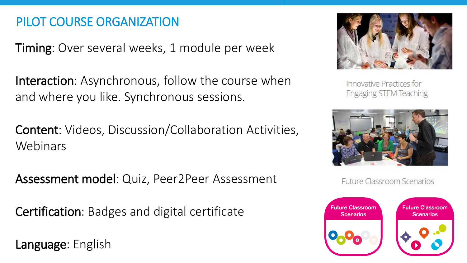### PILOT COURSE ORGANIZATION

Timing: Over several weeks, 1 module per week

Interaction: Asynchronous, follow the course when and where you like. Synchronous sessions.

Content: Videos, Discussion/Collaboration Activities, Webinars

Assessment model: Quiz, Peer2Peer Assessment

Certification: Badges and digital certificate

Language: English



Innovative Practices for Engaging STEM Teaching



**Future Classroom Scenarios** 

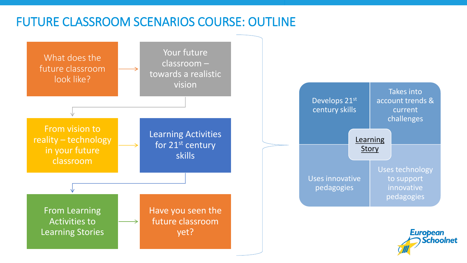#### FUTURE CLASSROOM SCENARIOS COURSE: OUTLINE

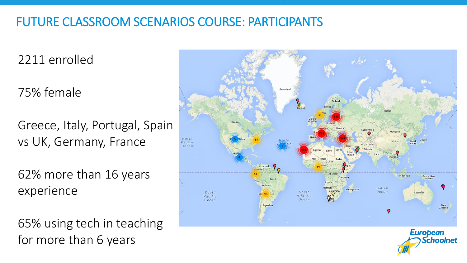### FUTURE CLASSROOM SCENARIOS COURSE: PARTICIPANTS

2211 enrolled

75% female

Greece, Italy, Portugal, Spain vs UK, Germany, France

62% more than 16 years experience

65% using tech in teaching for more than 6 years



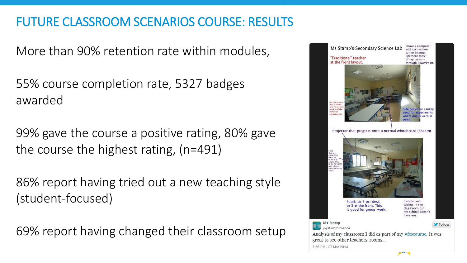## FUTURE CLASSROOM SCENARIOS COURSE: RESULTS

More than 90% retention rate within modules,

55% course completion rate, 5327 badges awarded

99% gave the course a positive rating, 80% gave the course the highest rating, (n=491)

86% report having tried out a new teaching style (student-focused)

69% report having changed their classroom setup

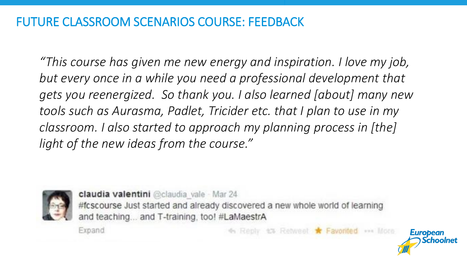### FUTURE CLASSROOM SCENARIOS COURSE: FEEDBACK

*"This course has given me new energy and inspiration. I love my job, but every once in a while you need a professional development that gets you reenergized. So thank you. I also learned [about] many new tools such as Aurasma, Padlet, Tricider etc. that I plan to use in my classroom. I also started to approach my planning process in [the] light of the new ideas from the course."*



Expand

claudia valentini @claudia\_vale Mar 24 #fcscourse Just started and already discovered a new whole world of learning and teaching... and T-training, too! #LaMaestrA

Retweet \* Favorited \*\*\* More

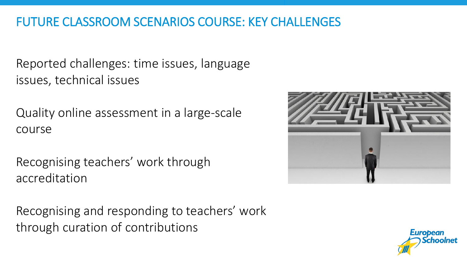### FUTURE CLASSROOM SCENARIOS COURSE: KEY CHALLENGES

Reported challenges: time issues, language issues, technical issues

Quality online assessment in a large-scale course

Recognising teachers' work through accreditation

Recognising and responding to teachers' work through curation of contributions



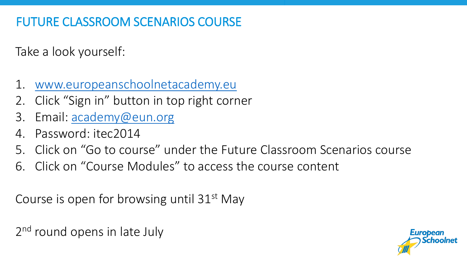# FUTURE CLASSROOM SCENARIOS COURSE

Take a look yourself:

- 1. [www.europeanschoolnetacademy.eu](http://www.europeanschoolnetacademy.eu/)
- 2. Click "Sign in" button in top right corner
- 3. Email: [academy@eun.org](mailto:academy@eun.org)
- 4. Password: itec2014
- 5. Click on "Go to course" under the Future Classroom Scenarios course
- 6. Click on "Course Modules" to access the course content

Course is open for browsing until 31<sup>st</sup> May

2<sup>nd</sup> round opens in late July